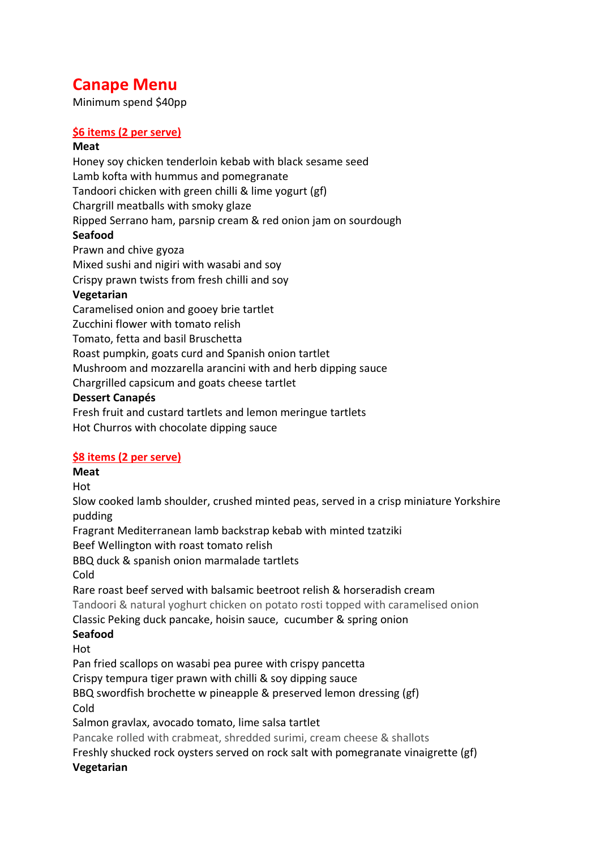# **Canape Menu**

Minimum spend \$40pp

# **\$6 items (2 per serve)**

#### **Meat**

Honey soy chicken tenderloin kebab with black sesame seed Lamb kofta with hummus and pomegranate Tandoori chicken with green chilli & lime yogurt (gf) Chargrill meatballs with smoky glaze Ripped Serrano ham, parsnip cream & red onion jam on sourdough **Seafood** Prawn and chive gyoza Mixed sushi and nigiri with wasabi and soy Crispy prawn twists from fresh chilli and soy **Vegetarian** Caramelised onion and gooey brie tartlet Zucchini flower with tomato relish Tomato, fetta and basil Bruschetta Roast pumpkin, goats curd and Spanish onion tartlet Mushroom and mozzarella arancini with and herb dipping sauce Chargrilled capsicum and goats cheese tartlet **Dessert Canapés** Fresh fruit and custard tartlets and lemon meringue tartlets

Hot Churros with chocolate dipping sauce

### **\$8 items (2 per serve)**

**Meat**

Hot

Slow cooked lamb shoulder, crushed minted peas, served in a crisp miniature Yorkshire pudding

Fragrant Mediterranean lamb backstrap kebab with minted tzatziki

Beef Wellington with roast tomato relish

BBQ duck & spanish onion marmalade tartlets

Cold

Rare roast beef served with balsamic beetroot relish & horseradish cream

Tandoori & natural yoghurt chicken on potato rosti topped with caramelised onion

Classic Peking duck pancake, hoisin sauce, cucumber & spring onion

### **Seafood**

Hot

Pan fried scallops on wasabi pea puree with crispy pancetta

Crispy tempura tiger prawn with chilli & soy dipping sauce

BBQ swordfish brochette w pineapple & preserved lemon dressing (gf)

Cold

Salmon gravlax, avocado tomato, lime salsa tartlet

Pancake rolled with crabmeat, shredded surimi, cream cheese & shallots

Freshly shucked rock oysters served on rock salt with pomegranate vinaigrette (gf)

### **Vegetarian**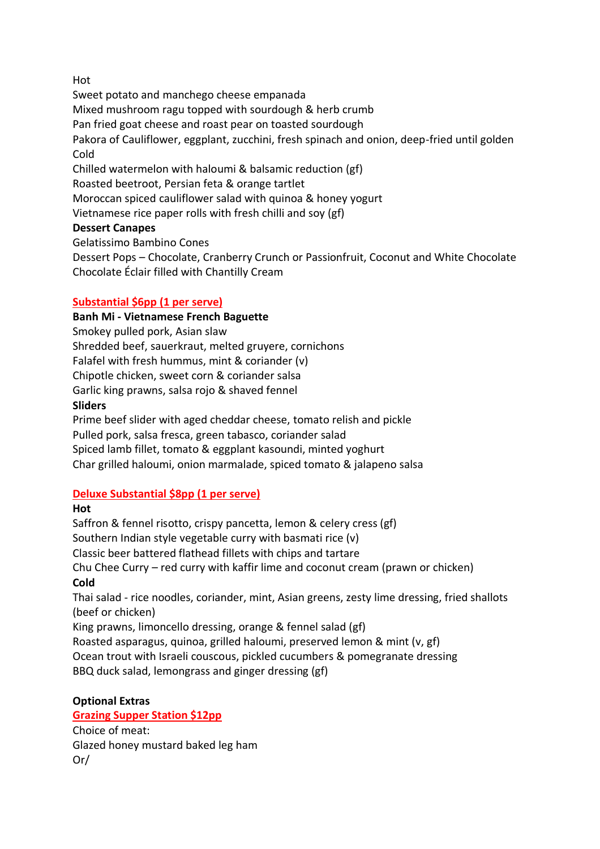### Hot

Sweet potato and manchego cheese empanada Mixed mushroom ragu topped with sourdough & herb crumb Pan fried goat cheese and roast pear on toasted sourdough Pakora of Cauliflower, eggplant, zucchini, fresh spinach and onion, deep-fried until golden Cold Chilled watermelon with haloumi & balsamic reduction (gf) Roasted beetroot, Persian feta & orange tartlet Moroccan spiced cauliflower salad with quinoa & honey yogurt Vietnamese rice paper rolls with fresh chilli and soy (gf) **Dessert Canapes** Gelatissimo Bambino Cones

Dessert Pops – Chocolate, Cranberry Crunch or Passionfruit, Coconut and White Chocolate Chocolate Éclair filled with Chantilly Cream

### **Substantial \$6pp (1 per serve)**

### **Banh Mi - Vietnamese French Baguette**

Smokey pulled pork, Asian slaw Shredded beef, sauerkraut, melted gruyere, cornichons Falafel with fresh hummus, mint & coriander (v)

Chipotle chicken, sweet corn & coriander salsa

Garlic king prawns, salsa rojo & shaved fennel

### **Sliders**

Prime beef slider with aged cheddar cheese, tomato relish and pickle Pulled pork, salsa fresca, green tabasco, coriander salad Spiced lamb fillet, tomato & eggplant kasoundi, minted yoghurt Char grilled haloumi, onion marmalade, spiced tomato & jalapeno salsa

### **Deluxe Substantial \$8pp (1 per serve)**

### **Hot**

Saffron & fennel risotto, crispy pancetta, lemon & celery cress (gf) Southern Indian style vegetable curry with basmati rice (v) Classic beer battered flathead fillets with chips and tartare Chu Chee Curry – red curry with kaffir lime and coconut cream (prawn or chicken) **Cold** Thai salad - rice noodles, coriander, mint, Asian greens, zesty lime dressing, fried shallots (beef or chicken) King prawns, limoncello dressing, orange & fennel salad (gf) Roasted asparagus, quinoa, grilled haloumi, preserved lemon & mint (v, gf)

Ocean trout with Israeli couscous, pickled cucumbers & pomegranate dressing BBQ duck salad, lemongrass and ginger dressing (gf)

# **Optional Extras**

### **Grazing Supper Station \$12pp**

Choice of meat: Glazed honey mustard baked leg ham Or/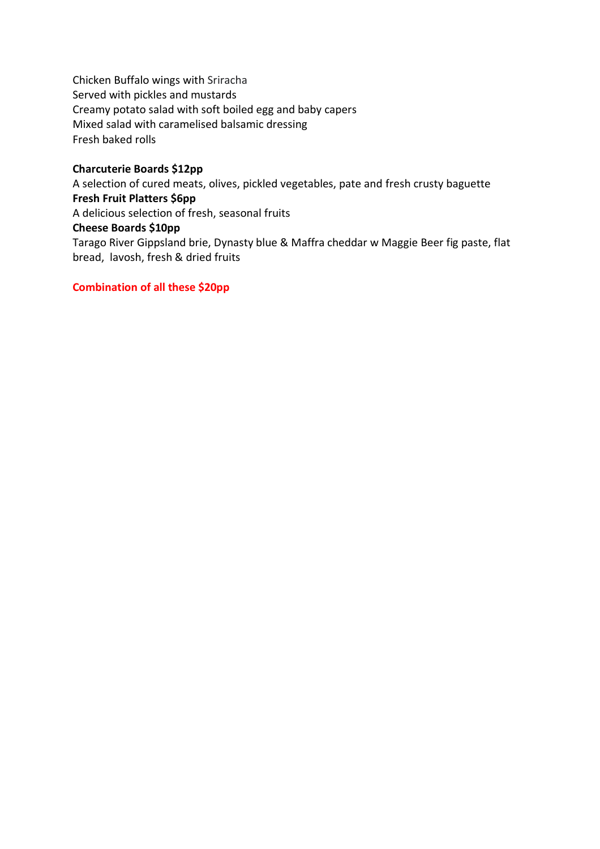Chicken Buffalo wings with Sriracha Served with pickles and mustards Creamy potato salad with soft boiled egg and baby capers Mixed salad with caramelised balsamic dressing Fresh baked rolls

#### **Charcuterie Boards \$12pp**

A selection of cured meats, olives, pickled vegetables, pate and fresh crusty baguette **Fresh Fruit Platters \$6pp** A delicious selection of fresh, seasonal fruits **Cheese Boards \$10pp**

Tarago River Gippsland brie, Dynasty blue & Maffra cheddar w Maggie Beer fig paste, flat bread, lavosh, fresh & dried fruits

#### **Combination of all these \$20pp**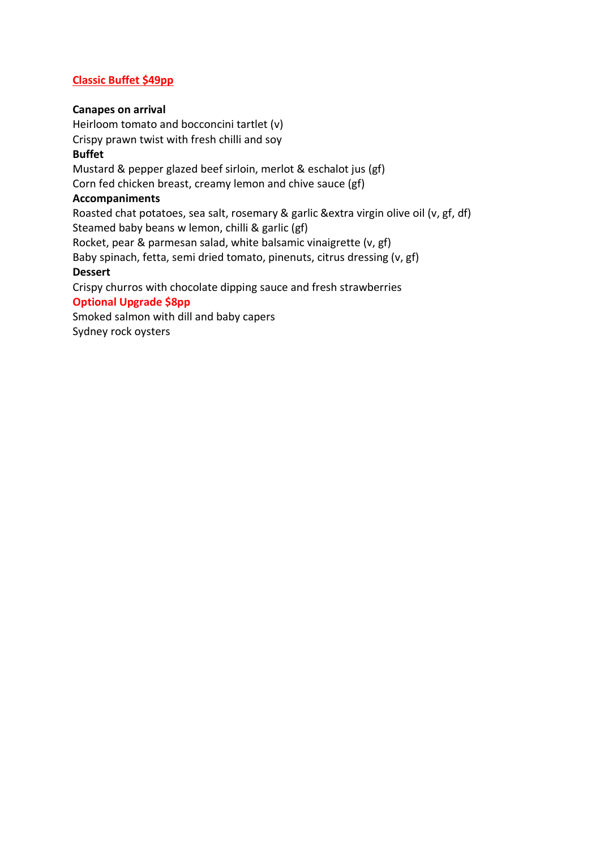### **Classic Buffet \$49pp**

#### **Canapes on arrival**

Heirloom tomato and bocconcini tartlet (v) Crispy prawn twist with fresh chilli and soy **Buffet** Mustard & pepper glazed beef sirloin, merlot & eschalot jus (gf) Corn fed chicken breast, creamy lemon and chive sauce (gf) **Accompaniments** Roasted chat potatoes, sea salt, rosemary & garlic &extra virgin olive oil (v, gf, df) Steamed baby beans w lemon, chilli & garlic (gf) Rocket, pear & parmesan salad, white balsamic vinaigrette (v, gf) Baby spinach, fetta, semi dried tomato, pinenuts, citrus dressing (v, gf) **Dessert** Crispy churros with chocolate dipping sauce and fresh strawberries **Optional Upgrade \$8pp** Smoked salmon with dill and baby capers

Sydney rock oysters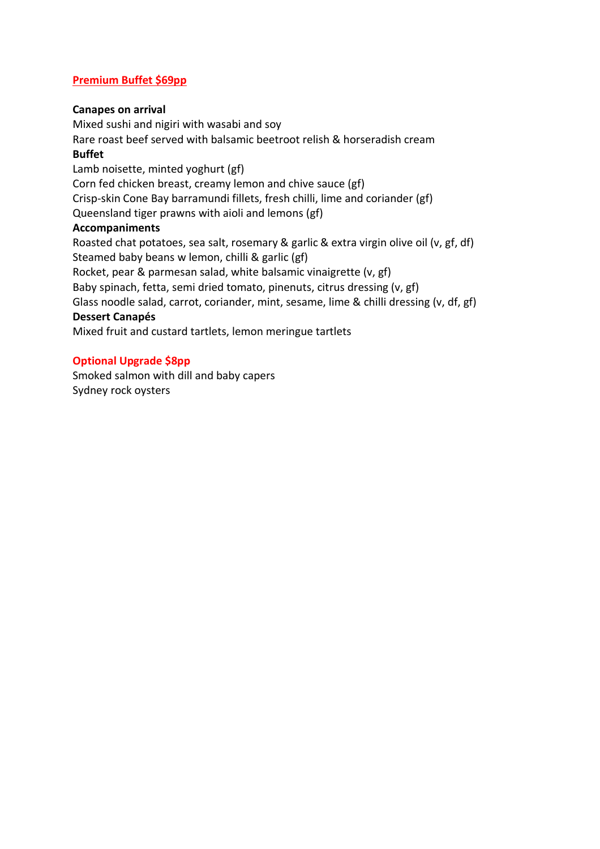### **Premium Buffet \$69pp**

#### **Canapes on arrival**

Mixed sushi and nigiri with wasabi and soy Rare roast beef served with balsamic beetroot relish & horseradish cream **Buffet** Lamb noisette, minted yoghurt (gf) Corn fed chicken breast, creamy lemon and chive sauce (gf) Crisp-skin Cone Bay barramundi fillets, fresh chilli, lime and coriander (gf) Queensland tiger prawns with aioli and lemons (gf) **Accompaniments** Roasted chat potatoes, sea salt, rosemary & garlic & extra virgin olive oil (v, gf, df) Steamed baby beans w lemon, chilli & garlic (gf) Rocket, pear & parmesan salad, white balsamic vinaigrette (v, gf) Baby spinach, fetta, semi dried tomato, pinenuts, citrus dressing (v, gf) Glass noodle salad, carrot, coriander, mint, sesame, lime & chilli dressing (v, df, gf) **Dessert Canapés** Mixed fruit and custard tartlets, lemon meringue tartlets

#### **Optional Upgrade \$8pp**

Smoked salmon with dill and baby capers Sydney rock oysters